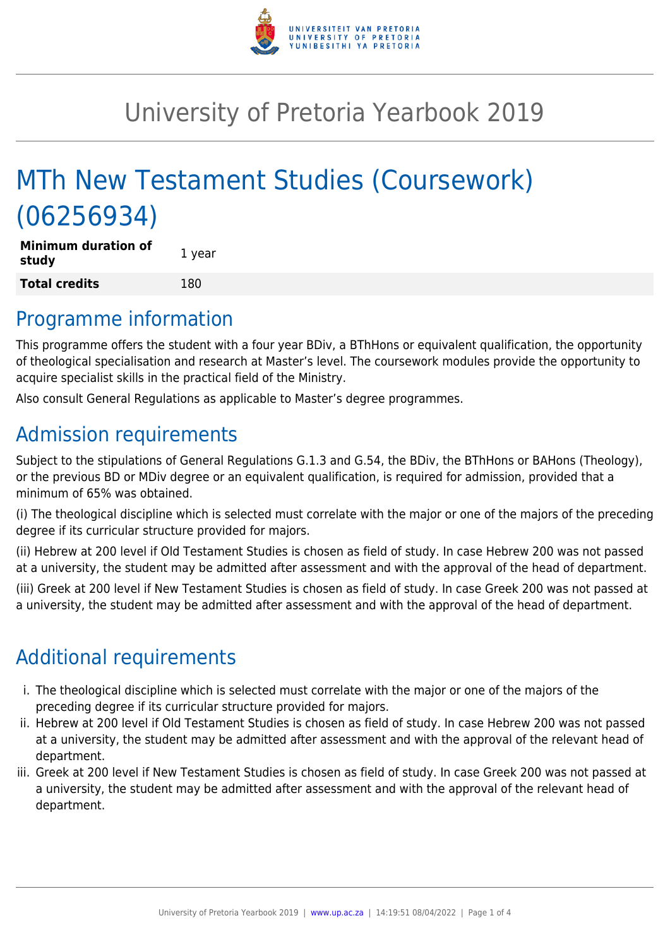

# University of Pretoria Yearbook 2019

# MTh New Testament Studies (Coursework) (06256934)

| <b>Minimum duration of</b><br>study | 1 year |
|-------------------------------------|--------|
| <b>Total credits</b>                | 180    |

### Programme information

This programme offers the student with a four year BDiv, a BThHons or equivalent qualification, the opportunity of theological specialisation and research at Master's level. The coursework modules provide the opportunity to acquire specialist skills in the practical field of the Ministry.

Also consult General Regulations as applicable to Master's degree programmes.

# Admission requirements

Subject to the stipulations of General Regulations G.1.3 and G.54, the BDiv, the BThHons or BAHons (Theology), or the previous BD or MDiv degree or an equivalent qualification, is required for admission, provided that a minimum of 65% was obtained.

(i) The theological discipline which is selected must correlate with the major or one of the majors of the preceding degree if its curricular structure provided for majors.

(ii) Hebrew at 200 level if Old Testament Studies is chosen as field of study. In case Hebrew 200 was not passed at a university, the student may be admitted after assessment and with the approval of the head of department.

(iii) Greek at 200 level if New Testament Studies is chosen as field of study. In case Greek 200 was not passed at a university, the student may be admitted after assessment and with the approval of the head of department.

## Additional requirements

- i. The theological discipline which is selected must correlate with the major or one of the majors of the preceding degree if its curricular structure provided for majors.
- ii. Hebrew at 200 level if Old Testament Studies is chosen as field of study. In case Hebrew 200 was not passed at a university, the student may be admitted after assessment and with the approval of the relevant head of department.
- iii. Greek at 200 level if New Testament Studies is chosen as field of study. In case Greek 200 was not passed at a university, the student may be admitted after assessment and with the approval of the relevant head of department.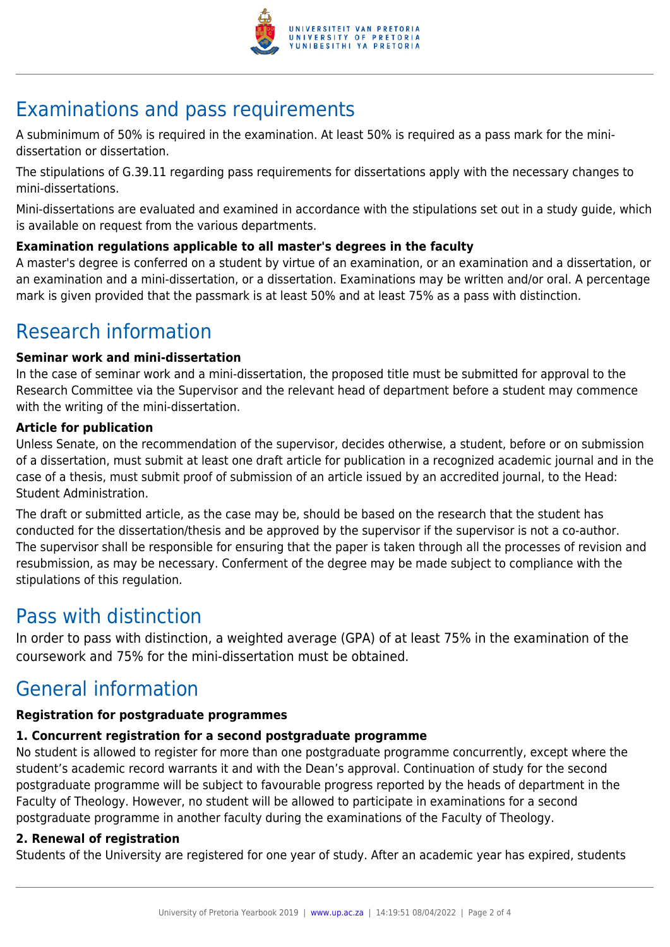

# Examinations and pass requirements

A subminimum of 50% is required in the examination. At least 50% is required as a pass mark for the minidissertation or dissertation.

The stipulations of G.39.11 regarding pass requirements for dissertations apply with the necessary changes to mini-dissertations.

Mini-dissertations are evaluated and examined in accordance with the stipulations set out in a study guide, which is available on request from the various departments.

#### **Examination regulations applicable to all master's degrees in the faculty**

A master's degree is conferred on a student by virtue of an examination, or an examination and a dissertation, or an examination and a mini-dissertation, or a dissertation. Examinations may be written and/or oral. A percentage mark is given provided that the passmark is at least 50% and at least 75% as a pass with distinction.

## Research information

#### **Seminar work and mini-dissertation**

In the case of seminar work and a mini-dissertation, the proposed title must be submitted for approval to the Research Committee via the Supervisor and the relevant head of department before a student may commence with the writing of the mini-dissertation.

#### **Article for publication**

Unless Senate, on the recommendation of the supervisor, decides otherwise, a student, before or on submission of a dissertation, must submit at least one draft article for publication in a recognized academic journal and in the case of a thesis, must submit proof of submission of an article issued by an accredited journal, to the Head: Student Administration.

The draft or submitted article, as the case may be, should be based on the research that the student has conducted for the dissertation/thesis and be approved by the supervisor if the supervisor is not a co-author. The supervisor shall be responsible for ensuring that the paper is taken through all the processes of revision and resubmission, as may be necessary. Conferment of the degree may be made subject to compliance with the stipulations of this regulation.

### Pass with distinction

In order to pass with distinction, a weighted average (GPA) of at least 75% in the examination of the coursework and 75% for the mini-dissertation must be obtained.

### General information

#### **Registration for postgraduate programmes**

#### **1. Concurrent registration for a second postgraduate programme**

No student is allowed to register for more than one postgraduate programme concurrently, except where the student's academic record warrants it and with the Dean's approval. Continuation of study for the second postgraduate programme will be subject to favourable progress reported by the heads of department in the Faculty of Theology. However, no student will be allowed to participate in examinations for a second postgraduate programme in another faculty during the examinations of the Faculty of Theology.

#### **2. Renewal of registration**

Students of the University are registered for one year of study. After an academic year has expired, students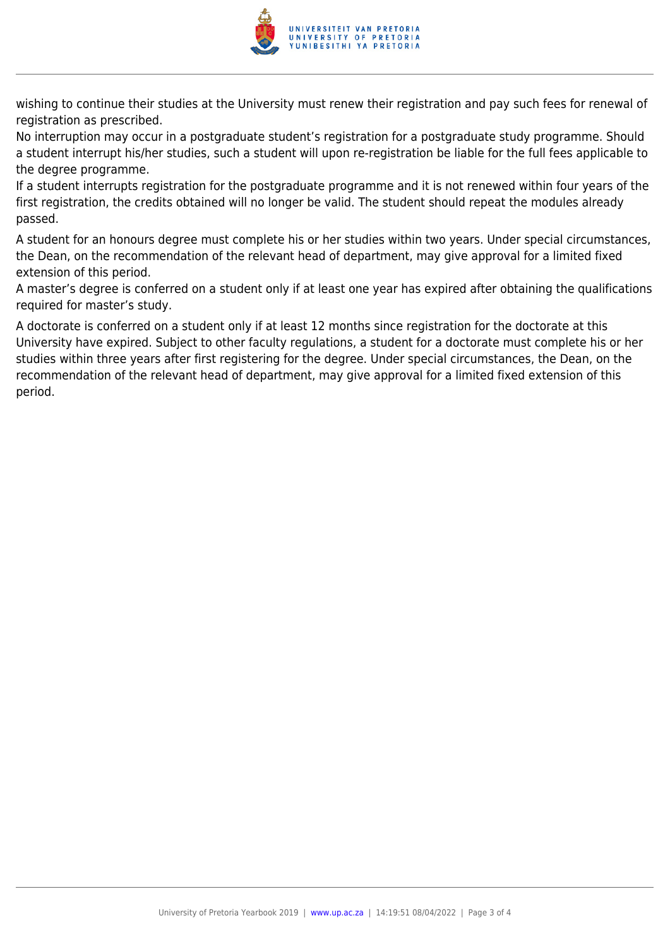

wishing to continue their studies at the University must renew their registration and pay such fees for renewal of registration as prescribed.

No interruption may occur in a postgraduate student's registration for a postgraduate study programme. Should a student interrupt his/her studies, such a student will upon re-registration be liable for the full fees applicable to the degree programme.

If a student interrupts registration for the postgraduate programme and it is not renewed within four years of the first registration, the credits obtained will no longer be valid. The student should repeat the modules already passed.

A student for an honours degree must complete his or her studies within two years. Under special circumstances, the Dean, on the recommendation of the relevant head of department, may give approval for a limited fixed extension of this period.

A master's degree is conferred on a student only if at least one year has expired after obtaining the qualifications required for master's study.

A doctorate is conferred on a student only if at least 12 months since registration for the doctorate at this University have expired. Subject to other faculty regulations, a student for a doctorate must complete his or her studies within three years after first registering for the degree. Under special circumstances, the Dean, on the recommendation of the relevant head of department, may give approval for a limited fixed extension of this period.